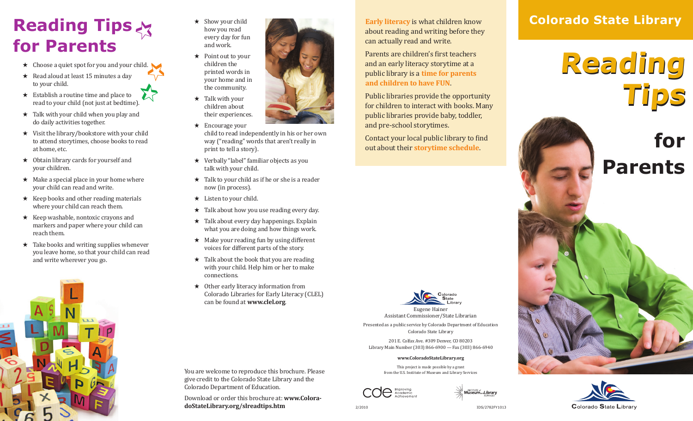## **Reading Tips for Parents**

- ★ Choose a quiet spot for you and your child.
- ★ Read aloud at least 15 minutes a day to your child.
- $\star$  Establish a routine time and place to read to your child (not just at bedtime).
- ★ Talk with your child when you play and do daily activities together.
- ★ Visit the library/bookstore with your child to attend storytimes, choose books to read at home, etc.
- ★ Obtain library cards for yourself and your children.
- $\star$  Make a special place in your home where your child can read and write.
- ★ Keep books and other reading materials where your child can reach them.
- ★ Keep washable, nontoxic crayons and markers and paper where your child can reach them.
- ★ Take books and writing supplies whenever you leave home, so that your child can read and write wherever you go.



- ★ Show your child how you read every day for fun and work.
- ★ Point out to your children the printed words in your home and in the community.



- ★ Encourage your child to read independently in his or her own way ("reading" words that aren't really in print to tell a story).
- ★ Verbally "label" familiar objects as you talk with your child.
- $\star$  Talk to your child as if he or she is a reader now (in process).
- $\star$  Listen to your child.
- ★ Talk about how you use reading every day.
- ★ Talk about every day happenings. Explain what you are doing and how things work.
- $\star$  Make your reading fun by using different voices for different parts of the story.
- $\star$  Talk about the book that you are reading with your child. Help him or her to make connections.
- ★ Other early literacy information from Colorado Libraries for Early Literacy (CLEL) can be found at **www.clel.org**.

**Early literacy** is what children know about reading and writing before they can actually read and write.

Parents are children's first teachers and an early literacy storytime at a public library is a **time for parents and children to have FUN**.

Public libraries provide the opportunity for children to interact with books. Many public libraries provide baby, toddler, and pre-school storytimes.

Contact your local public library to find out about their **storytime schedule**.



Eugene Hainer Assistant Commissioner/State Librarian Presented as a public service by Colorado Department of Education Colorado State Library

201 E. Colfax Ave. #309 Denver, CO 80203 Library Main Number (303) 866-6900 — Fax (303) 866-6940

#### **www.ColoradoStateLibrary.org**

This project is made possible by a grant from the U.S. Institute of Museum and Library Services





**Reading Reading Tips Tips**

# **for Parents**





give credit to the Colorado State Library and the Colorado Department of Education.

Download or order this brochure at: **www.ColoradoStateLibrary.org/slreadtips.htm**

You are welcome to reproduce this brochure. Please